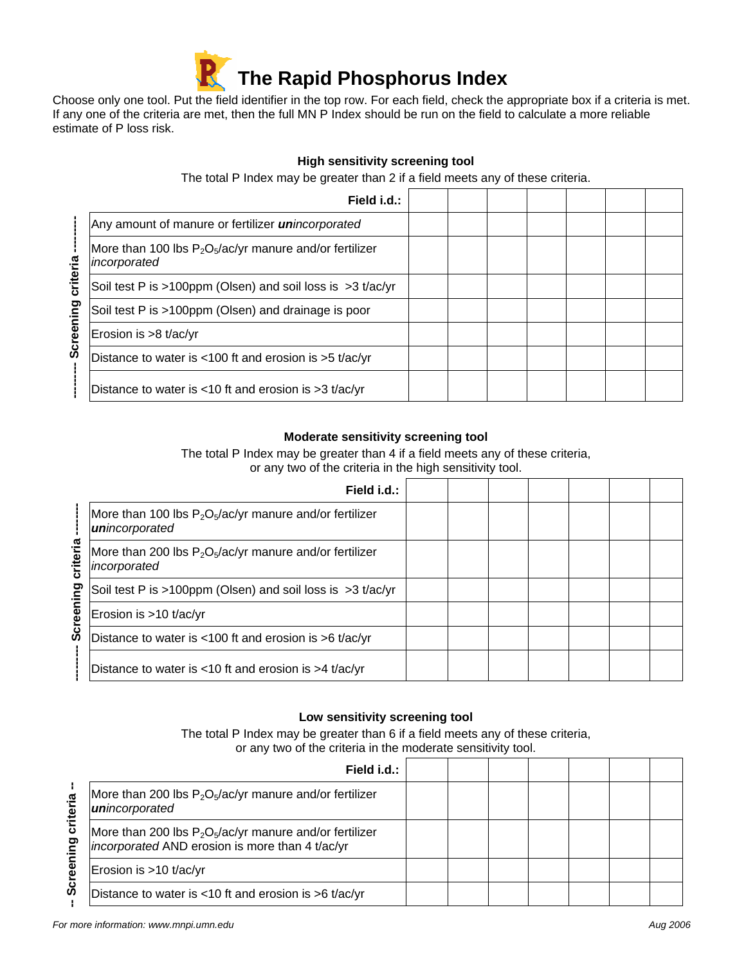

Choose only one tool. Put the field identifier in the top row. For each field, check the appropriate box if a criteria is met. If any one of the criteria are met, then the full MN P Index should be run on the field to calculate a more reliable estimate of P loss risk.

# **High sensitivity screening tool**

The total P Index may be greater than 2 if a field meets any of these criteria.

|                       | Field i.d.:                                                               |  |  |  |  |
|-----------------------|---------------------------------------------------------------------------|--|--|--|--|
| criteria<br>Screening | Any amount of manure or fertilizer <i>unincorporated</i>                  |  |  |  |  |
|                       | More than 100 lbs $P_2O_5/ac/yr$ manure and/or fertilizer<br>incorporated |  |  |  |  |
|                       | Soil test P is >100ppm (Olsen) and soil loss is $>3$ t/ac/yr              |  |  |  |  |
|                       | Soil test P is >100ppm (Olsen) and drainage is poor                       |  |  |  |  |
|                       | Erosion is $>8$ t/ac/yr                                                   |  |  |  |  |
|                       | Distance to water is <100 ft and erosion is >5 t/ac/yr                    |  |  |  |  |
|                       | Distance to water is $<$ 10 ft and erosion is $>$ 3 t/ac/yr               |  |  |  |  |

### **Moderate sensitivity screening tool**

The total P Index may be greater than 4 if a field meets any of these criteria, or any two of the criteria in the high sensitivity tool.

|                           | Field i.d.:                                                                 |  |  |  |  |
|---------------------------|-----------------------------------------------------------------------------|--|--|--|--|
| criteria<br>creening<br>ທ | More than 100 lbs $P_2O_5/ac/yr$ manure and/or fertilizer<br>unincorporated |  |  |  |  |
|                           | More than 200 lbs $P_2O_5/ac/yr$ manure and/or fertilizer<br>incorporated   |  |  |  |  |
|                           | Soil test P is >100ppm (Olsen) and soil loss is $>3$ t/ac/yr                |  |  |  |  |
|                           | Erosion is >10 t/ac/yr                                                      |  |  |  |  |
|                           | Distance to water is $<100$ ft and erosion is $>6$ t/ac/yr                  |  |  |  |  |
|                           | Distance to water is <10 ft and erosion is >4 $t/ac/yr$                     |  |  |  |  |

#### **Low sensitivity screening tool**

The total P Index may be greater than 6 if a field meets any of these criteria, or any two of the criteria in the moderate sensitivity tool.

| criteria<br>ဥ<br>Tea<br>မ္တ | Field i.d.:                                                                                                         |  |  |  |  |
|-----------------------------|---------------------------------------------------------------------------------------------------------------------|--|--|--|--|
|                             | More than 200 lbs $P_2O_5/ac/yr$ manure and/or fertilizer<br>unincorporated                                         |  |  |  |  |
|                             | More than 200 lbs $P_2O_5/ac/yr$ manure and/or fertilizer<br><i>incorporated</i> AND erosion is more than 4 t/ac/yr |  |  |  |  |
|                             | Erosion is >10 t/ac/yr                                                                                              |  |  |  |  |
|                             | Distance to water is <10 ft and erosion is >6 t/ac/yr                                                               |  |  |  |  |